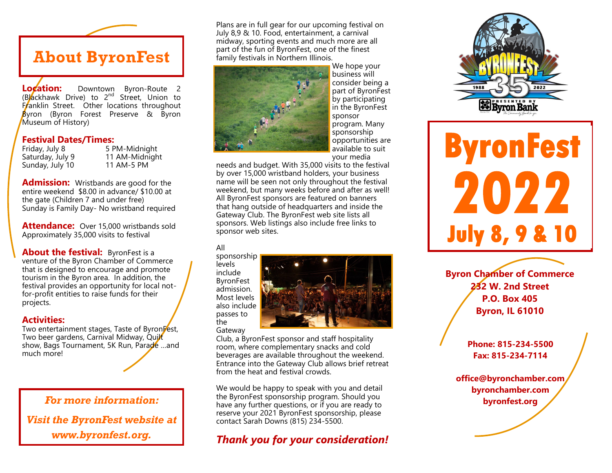**About ByronFest** 

**Location:** Downtown Byron-Route 2 (Blackhawk Drive) to 2nd Street, Union to Franklin Street. Other locations throughout Byron (Byron Forest Preserve & Byron Museum of History)

#### **Festival Dates/Times:**

Sunday, July 10 11 AM-5 PM

Friday, July 8 5 PM-Midnight Saturday, July 9 11 AM-Midnight

**Admission:** Wristbands are good for the entire weekend \$8.00 in advance/ \$10.00 at the gate (Children 7 and under free) Sunday is Family Day- No wristband required

**Attendance:** Over 15,000 wristbands sold Approximately 35,000 visits to festival

**About the festival:** ByronFest is a venture of the Byron Chamber of Commerce that is designed to encourage and promote tourism in the Byron area. In addition, the festival provides an opportunity for local notfor-profit entities to raise funds for their projects.

### **Activities:**

Two entertainment stages, Taste of ByronFest, Two beer gardens, Carnival Midway, Quilt show, Bags Tournament, 5K Run, Parade …and much more!

*For more information: Visit the ByronFest website at www.byronfest.org.*

Plans are in full gear for our upcoming festival on July 8,9 & 10. Food, entertainment, a carnival midway, sporting events and much more are all part of the fun of ByronFest, one of the finest family festivals in Northern Illinois.



We hope your business will consider being a part of ByronFest by participating in the ByronFest sponsor program. Many sponsorship opportunities are available to suit your media

needs and budget. With 35,000 visits to the festival by over 15,000 wristband holders, your business name will be seen not only throughout the festival weekend, but many weeks before and after as well! All ByronFest sponsors are featured on banners that hang outside of headquarters and inside the Gateway Club. The ByronFest web site lists all sponsors. Web listings also include free links to sponsor web sites.

#### All

sponsorship levels include ByronFest admission. Most levels also include passes to the



Gateway

Club, a ByronFest sponsor and staff hospitality room, where complementary snacks and cold beverages are available throughout the weekend. Entrance into the Gateway Club allows brief retreat from the heat and festival crowds.

We would be happy to speak with you and detail the ByronFest sponsorship program. Should you have any further questions, or if you are ready to reserve your 2021 ByronFest sponsorship, please contact Sarah Downs (815) 234-5500.

# *Thank you for your consideration!*



**ByronFest** 2022 **July 8, 9 & 10** 

**Byron Chamber of Commerce 232 W. 2nd Street P.O. Box 405 Byron, IL 61010**

> **Phone: 815-234-5500 Fax: 815-234-7114**

**office@byronchamber.com byronchamber.com byronfest.org**